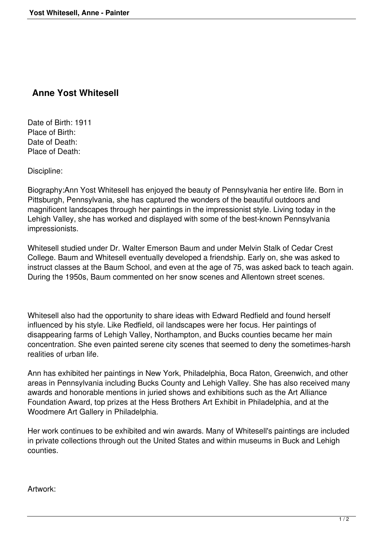## **Anne Yost Whitesell**

Date of Birth: 1911 Place of Birth: Date of Death: Place of Death:

Discipline:

Biography:Ann Yost Whitesell has enjoyed the beauty of Pennsylvania her entire life. Born in Pittsburgh, Pennsylvania, she has captured the wonders of the beautiful outdoors and magnificent landscapes through her paintings in the impressionist style. Living today in the Lehigh Valley, she has worked and displayed with some of the best-known Pennsylvania impressionists.

Whitesell studied under Dr. Walter Emerson Baum and under Melvin Stalk of Cedar Crest College. Baum and Whitesell eventually developed a friendship. Early on, she was asked to instruct classes at the Baum School, and even at the age of 75, was asked back to teach again. During the 1950s, Baum commented on her snow scenes and Allentown street scenes.

Whitesell also had the opportunity to share ideas with Edward Redfield and found herself influenced by his style. Like Redfield, oil landscapes were her focus. Her paintings of disappearing farms of Lehigh Valley, Northampton, and Bucks counties became her main concentration. She even painted serene city scenes that seemed to deny the sometimes-harsh realities of urban life.

Ann has exhibited her paintings in New York, Philadelphia, Boca Raton, Greenwich, and other areas in Pennsylvania including Bucks County and Lehigh Valley. She has also received many awards and honorable mentions in juried shows and exhibitions such as the Art Alliance Foundation Award, top prizes at the Hess Brothers Art Exhibit in Philadelphia, and at the Woodmere Art Gallery in Philadelphia.

Her work continues to be exhibited and win awards. Many of Whitesell's paintings are included in private collections through out the United States and within museums in Buck and Lehigh counties.

Artwork: